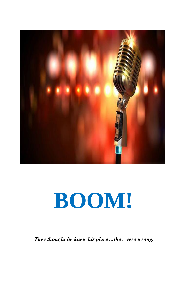

# **BOOM!**

 *They thought he knew his place…they were wrong.*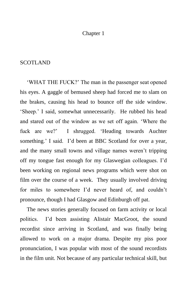### Chapter 1

### SCOTLAND

'WHAT THE FUCK?' The man in the passenger seat opened his eyes. A gaggle of bemused sheep had forced me to slam on the brakes, causing his head to bounce off the side window. 'Sheep.' I said, somewhat unnecessarily. He rubbed his head and stared out of the window as we set off again. 'Where the fuck are we?' I shrugged. 'Heading towards Auchter something.' I said. I'd been at BBC Scotland for over a year, and the many small towns and village names weren't tripping off my tongue fast enough for my Glaswegian colleagues. I'd been working on regional news programs which were shot on film over the course of a week. They usually involved driving for miles to somewhere I'd never heard of, and couldn't pronounce, though I had Glasgow and Edinburgh off pat.

The news stories generally focused on farm activity or local politics. I'd been assisting Alistair MacGroot, the sound recordist since arriving in Scotland, and was finally being allowed to work on a major drama. Despite my piss poor pronunciation, I was popular with most of the sound recordists in the film unit. Not because of any particular technical skill, but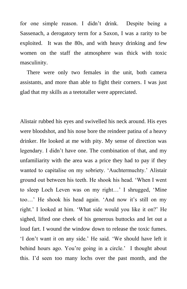for one simple reason. I didn't drink. Despite being a Sassenach, a derogatory term for a Saxon, I was a rarity to be exploited. It was the 80s, and with heavy drinking and few women on the staff the atmosphere was thick with toxic masculinity.

There were only two females in the unit, both camera assistants, and more than able to fight their corners. I was just glad that my skills as a teetotaller were appreciated.

Alistair rubbed his eyes and swivelled his neck around. His eyes were bloodshot, and his nose bore the reindeer patina of a heavy drinker. He looked at me with pity. My sense of direction was legendary. I didn't have one. The combination of that, and my unfamiliarity with the area was a price they had to pay if they wanted to capitalise on my sobriety. 'Auchtermuchty.' Alistair ground out between his teeth. He shook his head. 'When I went to sleep Loch Leven was on my right…' I shrugged, 'Mine too…' He shook his head again. 'And now it's still on my right.' I looked at him. 'What side would you like it on?' He sighed, lifted one cheek of his generous buttocks and let out a loud fart. I wound the window down to release the toxic fumes. 'I don't want it on any side.' He said. 'We should have left it behind hours ago. You're going in a circle.' I thought about this. I'd seen too many lochs over the past month, and the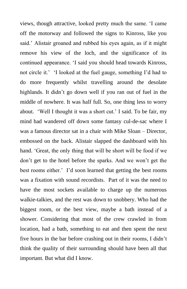views, though attractive, looked pretty much the same. 'I came off the motorway and followed the signs to Kinross, like you said.' Alistair groaned and rubbed his eyes again, as if it might remove his view of the loch, and the significance of its continued appearance. 'I said you should head towards Kinross, not circle it.' 'I looked at the fuel gauge, something I'd had to do more frequently whilst travelling around the desolate highlands. It didn't go down well if you ran out of fuel in the middle of nowhere. It was half full. So, one thing less to worry about. 'Well I thought it was a short cut.' I said. To be fair, my mind had wandered off down some fantasy cul-de-sac where I was a famous director sat in a chair with Mike Sloan – Director, embossed on the back. Alistair slapped the dashboard with his hand. 'Great, the only thing that will be short will be food if we don't get to the hotel before the sparks. And we won't get the best rooms either.' I'd soon learned that getting the best rooms was a fixation with sound recordists. Part of it was the need to have the most sockets available to charge up the numerous walkie-talkies, and the rest was down to snobbery. Who had the biggest room, or the best view, maybe a bath instead of a shower. Considering that most of the crew crawled in from location, had a bath, something to eat and then spent the next five hours in the bar before crashing out in their rooms, I didn't think the quality of their surrounding should have been all that important. But what did I know.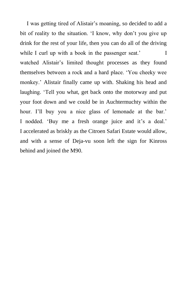I was getting tired of Alistair's moaning, so decided to add a bit of reality to the situation. 'I know, why don't you give up drink for the rest of your life, then you can do all of the driving while I curl up with a book in the passenger seat.' watched Alistair's limited thought processes as they found themselves between a rock and a hard place. 'You cheeky wee monkey.' Alistair finally came up with. Shaking his head and laughing. 'Tell you what, get back onto the motorway and put your foot down and we could be in Auchtermuchty within the hour. I'll buy you a nice glass of lemonade at the bar.' I nodded. 'Buy me a fresh orange juice and it's a deal.' I accelerated as briskly as the Citroen Safari Estate would allow, and with a sense of Deja-vu soon left the sign for Kinross behind and joined the M90.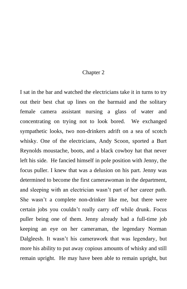#### Chapter 2

I sat in the bar and watched the electricians take it in turns to try out their best chat up lines on the barmaid and the solitary female camera assistant nursing a glass of water and concentrating on trying not to look bored. We exchanged sympathetic looks, two non-drinkers adrift on a sea of scotch whisky. One of the electricians, Andy Scoon, sported a Burt Reynolds moustache, boots, and a black cowboy hat that never left his side. He fancied himself in pole position with Jenny, the focus puller. I knew that was a delusion on his part. Jenny was determined to become the first camerawoman in the department, and sleeping with an electrician wasn't part of her career path. She wasn't a complete non-drinker like me, but there were certain jobs you couldn't really carry off while drunk. Focus puller being one of them. Jenny already had a full-time job keeping an eye on her cameraman, the legendary Norman Dalgleesh. It wasn't his camerawork that was legendary, but more his ability to put away copious amounts of whisky and still remain upright. He may have been able to remain upright, but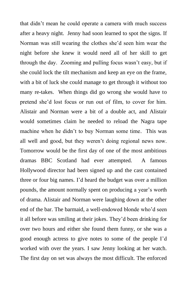that didn't mean he could operate a camera with much success after a heavy night. Jenny had soon learned to spot the signs. If Norman was still wearing the clothes she'd seen him wear the night before she knew it would need all of her skill to get through the day. Zooming and pulling focus wasn't easy, but if she could lock the tilt mechanism and keep an eye on the frame, with a bit of luck she could manage to get through it without too many re-takes. When things did go wrong she would have to pretend she'd lost focus or run out of film, to cover for him. Alistair and Norman were a bit of a double act, and Alistair would sometimes claim he needed to reload the Nagra tape machine when he didn't to buy Norman some time. This was all well and good, but they weren't doing regional news now. Tomorrow would be the first day of one of the most ambitious dramas BBC Scotland had ever attempted. A famous Hollywood director had been signed up and the cast contained three or four big names. I'd heard the budget was over a million pounds, the amount normally spent on producing a year's worth of drama. Alistair and Norman were laughing down at the other end of the bar. The barmaid, a well-endowed blonde who'd seen it all before was smiling at their jokes. They'd been drinking for over two hours and either she found them funny, or she was a good enough actress to give notes to some of the people I'd worked with over the years. I saw Jenny looking at her watch. The first day on set was always the most difficult. The enforced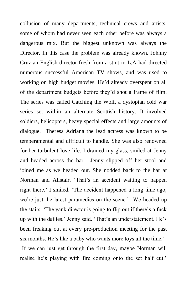collusion of many departments, technical crews and artists, some of whom had never seen each other before was always a dangerous mix. But the biggest unknown was always the Director. In this case the problem was already known. Johnny Cruz an English director fresh from a stint in L.A had directed numerous successful American TV shows, and was used to working on high budget movies. He'd already overspent on all of the department budgets before they'd shot a frame of film. The series was called Catching the Wolf, a dystopian cold war series set within an alternate Scottish history. It involved soldiers, helicopters, heavy special effects and large amounts of dialogue. Theresa Adriana the lead actress was known to be temperamental and difficult to handle. She was also renowned for her turbulent love life. I drained my glass, smiled at Jenny and headed across the bar. Jenny slipped off her stool and joined me as we headed out. She nodded back to the bar at Norman and Alistair. 'That's an accident waiting to happen right there.' I smiled. 'The accident happened a long time ago, we're just the latest paramedics on the scene.' We headed up the stairs. 'The yank director is going to flip out if there's a fuck up with the dailies.' Jenny said. 'That's an understatement. He's been freaking out at every pre-production meeting for the past six months. He's like a baby who wants more toys all the time.' 'If we can just get through the first day, maybe Norman will realise he's playing with fire coming onto the set half cut.'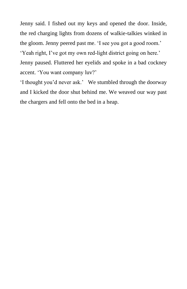Jenny said. I fished out my keys and opened the door. Inside, the red charging lights from dozens of walkie-talkies winked in the gloom. Jenny peered past me. 'I see you got a good room.' 'Yeah right, I've got my own red-light district going on here.' Jenny paused. Fluttered her eyelids and spoke in a bad cockney accent. 'You want company luv?'

'I thought you'd never ask.' We stumbled through the doorway and I kicked the door shut behind me. We weaved our way past the chargers and fell onto the bed in a heap.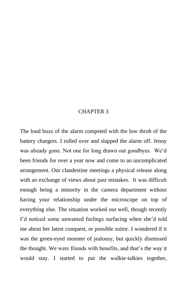### CHAPTER 3

The loud buzz of the alarm competed with the low throb of the battery chargers. I rolled over and slapped the alarm off. Jenny was already gone. Not one for long drawn out goodbyes. We'd been friends for over a year now and come to an uncomplicated arrangement. Our clandestine meetings a physical release along with an exchange of views about past mistakes. It was difficult enough being a minority in the camera department without having your relationship under the microscope on top of everything else. The situation worked out well, though recently I'd noticed some unwanted feelings surfacing when she'd told me about her latest conquest, or possible suitor. I wondered if it was the green-eyed monster of jealousy, but quickly dismissed the thought. We were friends with benefits, and that's the way it would stay. I started to put the walkie-talkies together,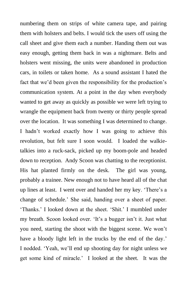numbering them on strips of white camera tape, and pairing them with holsters and belts. I would tick the users off using the call sheet and give them each a number. Handing them out was easy enough, getting them back in was a nightmare. Belts and holsters went missing, the units were abandoned in production cars, in toilets or taken home. As a sound assistant I hated the fact that we'd been given the responsibility for the production's communication system. At a point in the day when everybody wanted to get away as quickly as possible we were left trying to wrangle the equipment back from twenty or thirty people spread over the location. It was something I was determined to change. I hadn't worked exactly how I was going to achieve this revolution, but felt sure I soon would. I loaded the walkietalkies into a ruck-sack, picked up my boom-pole and headed down to reception. Andy Scoon was chatting to the receptionist. His hat planted firmly on the desk. The girl was young, probably a trainee. New enough not to have heard all of the chat up lines at least. I went over and handed her my key. 'There's a change of schedule.' She said, handing over a sheet of paper. 'Thanks.' I looked down at the sheet. 'Shit.' I mumbled under my breath. Scoon looked over. 'It's a bugger isn't it. Just what you need, starting the shoot with the biggest scene. We won't have a bloody light left in the trucks by the end of the day.' I nodded. 'Yeah, we'll end up shooting day for night unless we get some kind of miracle.' I looked at the sheet. It was the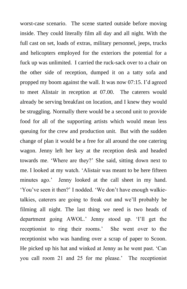worst-case scenario. The scene started outside before moving inside. They could literally film all day and all night. With the full cast on set, loads of extras, military personnel, jeeps, trucks and helicopters employed for the exteriors the potential for a fuck up was unlimited. I carried the ruck-sack over to a chair on the other side of reception, dumped it on a tatty sofa and propped my boom against the wall. It was now 07:15. I'd agreed to meet Alistair in reception at 07.00. The caterers would already be serving breakfast on location, and I knew they would be struggling. Normally there would be a second unit to provide food for all of the supporting artists which would mean less queuing for the crew and production unit. But with the sudden change of plan it would be a free for all around the one catering wagon. Jenny left her key at the reception desk and headed towards me. 'Where are they?' She said, sitting down next to me. I looked at my watch. 'Alistair was meant to be here fifteen minutes ago.' Jenny looked at the call sheet in my hand. 'You've seen it then?' I nodded. 'We don't have enough walkietalkies, caterers are going to freak out and we'll probably be filming all night. The last thing we need is two heads of department going AWOL.' Jenny stood up. 'I'll get the receptionist to ring their rooms.' She went over to the receptionist who was handing over a scrap of paper to Scoon. He picked up his hat and winked at Jenny as he went past. 'Can you call room 21 and 25 for me please.' The receptionist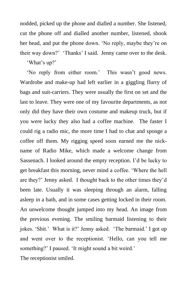nodded, picked up the phone and dialled a number. She listened, cut the phone off and dialled another number, listened, shook her head, and put the phone down. 'No reply, maybe they're on their way down?' 'Thanks' I said. Jenny came over to the desk.

'What's up?'

'No reply from either room.' This wasn't good news. Wardrobe and make-up had left earlier in a giggling flurry of bags and suit-carriers. They were usually the first on set and the last to leave. They were one of my favourite departments, as not only did they have their own costume and makeup truck, but if you were lucky they also had a coffee machine. The faster I could rig a radio mic, the more time I had to chat and sponge a coffee off them. My rigging speed soon earned me the nickname of Radio Mike, which made a welcome change from Sassenach. I looked around the empty reception. I'd be lucky to get breakfast this morning, never mind a coffee. 'Where the hell are they?' Jenny asked. I thought back to the other times they'd been late. Usually it was sleeping through an alarm, falling asleep in a bath, and in some cases getting locked in their room. An unwelcome thought jumped into my head. An image from the previous evening. The smiling barmaid listening to their jokes. 'Shit.' What is it?' Jenny asked. 'The barmaid.' I got up and went over to the receptionist. 'Hello, can you tell me something?' I paused. 'It might sound a bit weird.'

The receptionist smiled.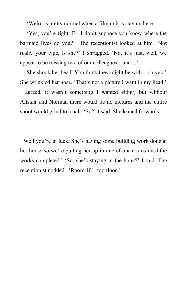'Weird is pretty normal when a film unit is staying here.'

'Yes, you're right. Er, I don't suppose you know where the barmaid lives do you?' The receptionist looked at him. 'Not really your type, is she?' I shrugged. 'No, it's just, well, we appear to be missing two of our colleagues…and…'

She shook her head. You think they might be with…oh yuk.' She wrinkled her nose. 'That's not a picture I want in my head.' I agreed, it wasn't something I wanted either, but without Alistair and Norman there would be no pictures and the entire shoot would grind to a halt. 'So?' I said. She leaned forwards.

'Well you're in luck. She's having some building work done at her house so we're putting her up in one of our rooms until the works completed.' 'So, she's staying in the hotel?' I said. The receptionist nodded. 'Room 101, top floor.'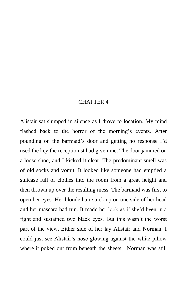### CHAPTER 4

Alistair sat slumped in silence as I drove to location. My mind flashed back to the horror of the morning's events. After pounding on the barmaid's door and getting no response I'd used the key the receptionist had given me. The door jammed on a loose shoe, and I kicked it clear. The predominant smell was of old socks and vomit. It looked like someone had emptied a suitcase full of clothes into the room from a great height and then thrown up over the resulting mess. The barmaid was first to open her eyes. Her blonde hair stuck up on one side of her head and her mascara had run. It made her look as if she'd been in a fight and sustained two black eyes. But this wasn't the worst part of the view. Either side of her lay Alistair and Norman. I could just see Alistair's nose glowing against the white pillow where it poked out from beneath the sheets. Norman was still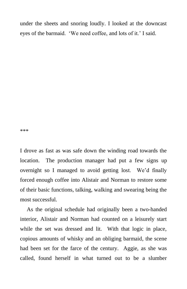under the sheets and snoring loudly. I looked at the downcast eyes of the barmaid. 'We need coffee, and lots of it.' I said.

\*\*\*

I drove as fast as was safe down the winding road towards the location. The production manager had put a few signs up overnight so I managed to avoid getting lost. We'd finally forced enough coffee into Alistair and Norman to restore some of their basic functions, talking, walking and swearing being the most successful.

As the original schedule had originally been a two-handed interior, Alistair and Norman had counted on a leisurely start while the set was dressed and lit. With that logic in place, copious amounts of whisky and an obliging barmaid, the scene had been set for the farce of the century. Aggie, as she was called, found herself in what turned out to be a slumber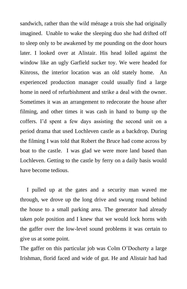sandwich, rather than the wild ménage a trois she had originally imagined. Unable to wake the sleeping duo she had drifted off to sleep only to be awakened by me pounding on the door hours later. I looked over at Alistair. His head lolled against the window like an ugly Garfield sucker toy. We were headed for Kinross, the interior location was an old stately home. An experienced production manager could usually find a large home in need of refurbishment and strike a deal with the owner. Sometimes it was an arrangement to redecorate the house after filming, and other times it was cash in hand to bump up the coffers. I'd spent a few days assisting the second unit on a period drama that used Lochleven castle as a backdrop. During the filming I was told that Robert the Bruce had come across by boat to the castle. I was glad we were more land based than Lochleven. Getting to the castle by ferry on a daily basis would have become tedious.

I pulled up at the gates and a security man waved me through, we drove up the long drive and swung round behind the house to a small parking area. The generator had already taken pole position and I knew that we would lock horns with the gaffer over the low-level sound problems it was certain to give us at some point.

The gaffer on this particular job was Colm O'Docherty a large Irishman, florid faced and wide of gut. He and Alistair had had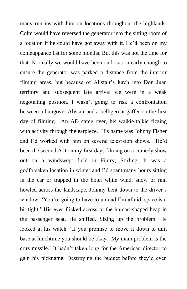many run ins with him on locations throughout the highlands. Colm would have reversed the generator into the sitting room of a location if he could have got away with it. He'd been on my comeuppance list for some months. But this was not the time for that. Normally we would have been on location early enough to ensure the generator was parked a distance from the interior filming areas, but because of Alistair's lurch into Don Juan territory and subsequent late arrival we were in a weak negotiating position. I wasn't going to risk a confrontation between a hungover Alistair and a belligerent gaffer on the first day of filming. An AD came over, his walkie-talkie fizzing with activity through the earpiece. His name was Johnny Fisher and I'd worked with him on several television shows. He'd been the second AD on my first days filming on a comedy show out on a windswept field in Fintry, Stirling. It was a godforsaken location in winter and I'd spent many hours sitting in the car or trapped in the hotel while wind, snow or rain howled across the landscape. Johnny bent down to the driver's window. 'You're going to have to unload I'm afraid, space is a bit tight.' His eyes flicked across to the human shaped heap in the passenger seat. He sniffed. Sizing up the problem. He looked at his watch. 'If you promise to move it down to unit base at lunchtime you should be okay. My main problem is the cruz missile.' It hadn't taken long for the American director to gain his nickname. Destroying the budget before they'd even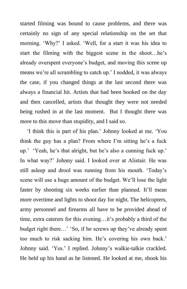started filming was bound to cause problems, and there was certainly no sign of any special relationship on the set that morning. 'Why?' I asked. 'Well, for a start it was his idea to start the filming with the biggest scene in the shoot…he's already overspent everyone's budget, and moving this scene up means we're all scrambling to catch up.' I nodded, it was always the case, if you changed things at the last second there was always a financial hit. Artists that had been booked on the day and then cancelled, artists that thought they were not needed being rushed in at the last moment. But I thought there was more to this move than stupidity, and I said so.

'I think this is part of his plan.' Johnny looked at me. 'You think the guy has a plan? From where I'm sitting he's a fuck up.' 'Yeah, he's that alright, but he's also a cunning fuck up.' In what way?' Johnny said. I looked over at Alistair. He was still asleep and drool was running from his mouth. 'Today's scene will use a huge amount of the budget. We'll lose the light faster by shooting six weeks earlier than planned. It'll mean more overtime and lights to shoot day for night. The helicopters, army personnel and firearms all have to be provided ahead of time, extra caterers for this evening…it's probably a third of the budget right there…' 'So, if he screws up they've already spent too much to risk sacking him. He's covering his own back.' Johnny said. 'Yes.' I replied. Johnny's walkie-talkie crackled. He held up his hand as he listened. He looked at me, shook his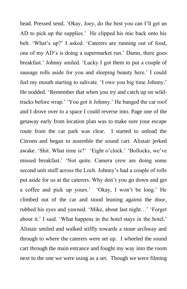head. Pressed send. 'Okay, Joey, do the best you can I'll get an AD to pick up the supplies.' He clipped his mic back onto his belt. 'What's up?' I asked. 'Caterers are running out of food, one of my AD's is doing a supermarket run.' Damn, there goes breakfast.' Johnny smiled. 'Lucky I got them to put a couple of sausage rolls aside for you and sleeping beauty here.' I could feel my mouth starting to salivate. 'I owe you big time Johnny.' He nodded. 'Remember that when you try and catch up on wildtracks before wrap.' 'You got it Johnny.' He banged the car roof and I drove over to a space I could reverse into. Page one of the getaway early from location plan was to make sure your escape route from the car park was clear. I started to unload the Citroen and began to assemble the sound cart. Alistair jerked awake. 'Shit. What time is?' 'Eight o'clock.' 'Bollocks, we've missed breakfast.' 'Not quite. Camera crew are doing some second unit stuff across the Loch. Johnny's had a couple of rolls put aside for us at the caterers. Why don't you go down and get a coffee and pick up yours.' 'Okay, I won't be long.' He climbed out of the car and stood leaning against the door, rubbed his eyes and yawned. 'Mike, about last night…' 'Forget about it.' I said. 'What happens in the hotel stays in the hotel.' Alistair smiled and walked stiffly towards a stone archway and through to where the caterers were set up. I wheeled the sound cart through the main entrance and fought my way into the room next to the one we were using as a set. Though we were filming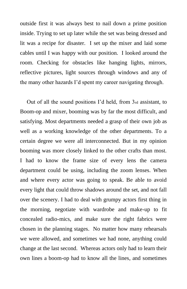outside first it was always best to nail down a prime position inside. Trying to set up later while the set was being dressed and lit was a recipe for disaster. I set up the mixer and laid some cables until I was happy with our position. I looked around the room. Checking for obstacles like hanging lights, mirrors, reflective pictures, light sources through windows and any of the many other hazards I'd spent my career navigating through.

Out of all the sound positions I'd held, from 3rd assistant, to Boom-op and mixer, booming was by far the most difficult, and satisfying. Most departments needed a grasp of their own job as well as a working knowledge of the other departments. To a certain degree we were all interconnected. But in my opinion booming was more closely linked to the other crafts than most. I had to know the frame size of every lens the camera department could be using, including the zoom lenses. When and where every actor was going to speak. Be able to avoid every light that could throw shadows around the set, and not fall over the scenery. I had to deal with grumpy actors first thing in the morning, negotiate with wardrobe and make-up to fit concealed radio-mics, and make sure the right fabrics were chosen in the planning stages. No matter how many rehearsals we were allowed, and sometimes we had none, anything could change at the last second. Whereas actors only had to learn their own lines a boom-op had to know all the lines, and sometimes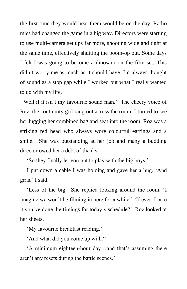the first time they would hear them would be on the day. Radio mics had changed the game in a big way. Directors were starting to use multi-camera set ups far more, shooting wide and tight at the same time, effectively shutting the boom-op out. Some days I felt I was going to become a dinosaur on the film set. This didn't worry me as much as it should have. I'd always thought of sound as a stop gap while I worked out what I really wanted to do with my life.

'Well if it isn't my favourite sound man.' The cheery voice of Roz, the continuity girl rang out across the room. I turned to see her lugging her combined bag and seat into the room. Roz was a striking red head who always wore colourful earrings and a smile. She was outstanding at her job and many a budding director owed her a debt of thanks.

'So they finally let you out to play with the big boys.'

I put down a cable I was holding and gave her a hug. 'And girls.' I said.

'Less of the big.' She replied looking around the room. 'I imagine we won't be filming in here for a while.' 'If ever. I take it you've done the timings for today's schedule?' Roz looked at her sheets.

'My favourite breakfast reading.'

'And what did you come up with?'

'A minimum eighteen-hour day…and that's assuming there aren't any resets during the battle scenes.'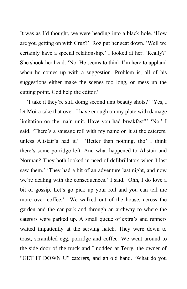It was as I'd thought, we were heading into a black hole. 'How are you getting on with Cruz?' Roz put her seat down. 'Well we certainly have a special relationship.' I looked at her. 'Really?' She shook her head. 'No. He seems to think I'm here to applaud when he comes up with a suggestion. Problem is, all of his suggestions either make the scenes too long, or mess up the cutting point. God help the editor.'

'I take it they're still doing second unit beauty shots?' 'Yes, I let Moira take that over, I have enough on my plate with damage limitation on the main unit. Have you had breakfast?' 'No.' I said. 'There's a sausage roll with my name on it at the caterers, unless Alistair's had it.' 'Better than nothing, tho' I think there's some porridge left. And what happened to Alistair and Norman? They both looked in need of defibrillators when I last saw them.' 'They had a bit of an adventure last night, and now we're dealing with the consequences.' I said. 'Ohh, I do love a bit of gossip. Let's go pick up your roll and you can tell me more over coffee.' We walked out of the house, across the garden and the car park and through an archway to where the caterers were parked up. A small queue of extra's and runners waited impatiently at the serving hatch. They were down to toast, scrambled egg, porridge and coffee. We went around to the side door of the truck and I nodded at Terry, the owner of "GET IT DOWN U" caterers, and an old hand. 'What do you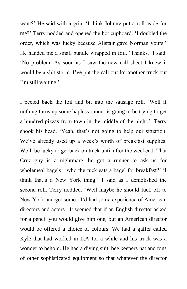want?' He said with a grin. 'I think Johnny put a roll aside for me?' Terry nodded and opened the hot cupboard. 'I doubled the order, which was lucky because Alistair gave Norman yours.' He handed me a small bundle wrapped in foil. 'Thanks.' I said. 'No problem. As soon as I saw the new call sheet I knew it would be a shit storm. I've put the call out for another truck but I'm still waiting.'

I peeled back the foil and bit into the sausage roll. 'Well if nothing turns up some hapless runner is going to be trying to get a hundred pizzas from town in the middle of the night.' Terry shook his head. 'Yeah, that's not going to help our situation. We've already used up a week's worth of breakfast supplies. We'll be lucky to get back on track until after the weekend. That Cruz guy is a nightmare, he got a runner to ask us for wholemeal bagels…who the fuck eats a bagel for breakfast?' 'I think that's a New York thing.' I said as I demolished the second roll. Terry nodded. 'Well maybe he should fuck off to New York and get some.' I'd had some experience of American directors and actors. It seemed that if an English director asked for a pencil you would give him one, but an American director would be offered a choice of colours. We had a gaffer called Kyle that had worked in L.A for a while and his truck was a wonder to behold. He had a diving suit, bee keepers hat and tons of other sophisticated equipment so that whatever the director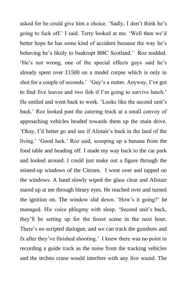asked for he could give him a choice. 'Sadly, I don't think he's going to fuck off.' I said. Terry looked at me. 'Well then we'd better hope he has some kind of accident because the way he's behaving he's likely to bankrupt BBC Scotland.' Roz nodded. 'He's not wrong, one of the special effects guys said he's already spent over £1500 on a model corpse which is only in shot for a couple of seconds.' 'Guy's a nutter. Anyway, I've got to find five loaves and two fish if I'm going to survive lunch.' He smiled and went back to work. 'Looks like the second unit's back.' Roz looked past the catering truck at a small convoy of approaching vehicles headed towards them up the main drive. 'Okay, I'd better go and see if Alistair's back in the land of the living.' 'Good luck.' Roz said, scooping up a banana from the food table and heading off. I made my way back to the car park and looked around. I could just make out a figure through the misted-up windows of the Citroen. I went over and tapped on the windows. A hand slowly wiped the glass clear and Alistair stared up at me through bleary eyes. He reached over and turned the ignition on. The window slid down. 'How's it going?' he managed. His voice phlegmy with sleep. 'Second unit's back, they'll be setting up for the forest scene in the next hour. There's no scripted dialogue, and we can track the gunshots and fx after they've finished shooting.' I knew there was no point in recording a guide track as the noise from the tracking vehicles and the techno crane would interfere with any live sound. The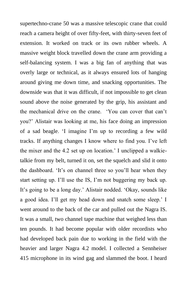supertechno-crane 50 was a massive telescopic crane that could reach a camera height of over fifty-feet, with thirty-seven feet of extension. It worked on track or its own rubber wheels. A massive weight block travelled down the crane arm providing a self-balancing system. I was a big fan of anything that was overly large or technical, as it always ensured lots of hanging around giving me down time, and snacking opportunities. The downside was that it was difficult, if not impossible to get clean sound above the noise generated by the grip, his assistant and the mechanical drive on the crane. 'You can cover that can't you?' Alistair was looking at me, his face doing an impression of a sad beagle. 'I imagine I'm up to recording a few wild tracks. If anything changes I know where to find you. I've left the mixer and the 4.2 set up on location.' I unclipped a walkietalkie from my belt, turned it on, set the squelch and slid it onto the dashboard. 'It's on channel three so you'll hear when they start setting up. I'll use the IS, I'm not buggering my back up. It's going to be a long day.' Alistair nodded. 'Okay, sounds like a good idea. I'll get my head down and snatch some sleep.' I went around to the back of the car and pulled out the Nagra IS. It was a small, two channel tape machine that weighed less than ten pounds. It had become popular with older recordists who had developed back pain due to working in the field with the heavier and larger Nagra 4.2 model. I collected a Sennheiser 415 microphone in its wind gag and slammed the boot. I heard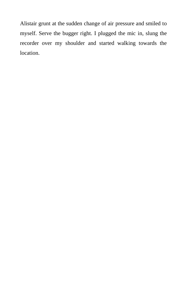Alistair grunt at the sudden change of air pressure and smiled to myself. Serve the bugger right. I plugged the mic in, slung the recorder over my shoulder and started walking towards the location.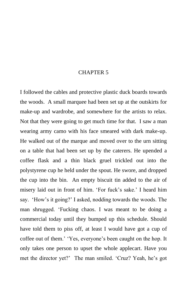#### CHAPTER 5

I followed the cables and protective plastic duck boards towards the woods. A small marquee had been set up at the outskirts for make-up and wardrobe, and somewhere for the artists to relax. Not that they were going to get much time for that. I saw a man wearing army camo with his face smeared with dark make-up. He walked out of the marque and moved over to the urn sitting on a table that had been set up by the caterers. He upended a coffee flask and a thin black gruel trickled out into the polystyrene cup he held under the spout. He swore, and dropped the cup into the bin. An empty biscuit tin added to the air of misery laid out in front of him. 'For fuck's sake.' I heard him say. 'How's it going?' I asked, nodding towards the woods. The man shrugged. 'Fucking chaos. I was meant to be doing a commercial today until they bumped up this schedule. Should have told them to piss off, at least I would have got a cup of coffee out of them.' 'Yes, everyone's been caught on the hop. It only takes one person to upset the whole applecart. Have you met the director yet?' The man smiled. 'Cruz? Yeah, he's got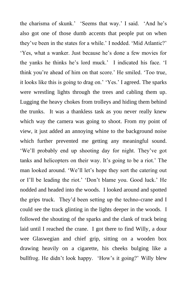the charisma of skunk.' 'Seems that way.' I said. 'And he's also got one of those dumb accents that people put on when they've been in the states for a while.' I nodded. 'Mid Atlantic?' 'Yes, what a wanker. Just because he's done a few movies for the yanks he thinks he's lord muck.' I indicated his face. 'I think you're ahead of him on that score.' He smiled. 'Too true, it looks like this is going to drag on.' 'Yes.' I agreed. The sparks were wrestling lights through the trees and cabling them up. Lugging the heavy chokes from trolleys and hiding them behind the trunks. It was a thankless task as you never really knew which way the camera was going to shoot. From my point of view, it just added an annoying whine to the background noise which further prevented me getting any meaningful sound. 'We'll probably end up shooting day for night. They've got tanks and helicopters on their way. It's going to be a riot.' The man looked around. 'We'll let's hope they sort the catering out or I'll be leading the riot.' 'Don't blame you. Good luck.' He nodded and headed into the woods. I looked around and spotted the grips truck. They'd been setting up the techno-crane and I could see the track glinting in the lights deeper in the woods. I followed the shouting of the sparks and the clank of track being laid until I reached the crane. I got there to find Willy, a dour wee Glaswegian and chief grip, sitting on a wooden box drawing heavily on a cigarette, his cheeks bulging like a bullfrog. He didn't look happy. 'How's it going?' Willy blew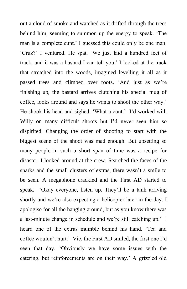out a cloud of smoke and watched as it drifted through the trees behind him, seeming to summon up the energy to speak. 'The man is a complete cunt.' I guessed this could only be one man. 'Cruz?' I ventured. He spat. 'We just laid a hundred feet of track, and it was a bastard I can tell you.' I looked at the track that stretched into the woods, imagined levelling it all as it passed trees and climbed over roots. 'And just as we're finishing up, the bastard arrives clutching his special mug of coffee, looks around and says he wants to shoot the other way.' He shook his head and sighed. 'What a cunt.' I'd worked with Willy on many difficult shoots but I'd never seen him so dispirited. Changing the order of shooting to start with the biggest scene of the shoot was mad enough. But upsetting so many people in such a short span of time was a recipe for disaster. I looked around at the crew. Searched the faces of the sparks and the small clusters of extras, there wasn't a smile to be seen. A megaphone crackled and the First AD started to speak. 'Okay everyone, listen up. They'll be a tank arriving shortly and we're also expecting a helicopter later in the day. I apologise for all the hanging around, but as you know there was a last-minute change in schedule and we're still catching up.' I heard one of the extras mumble behind his hand. 'Tea and coffee wouldn't hurt.' Vic, the First AD smiled, the first one I'd seen that day. 'Obviously we have some issues with the catering, but reinforcements are on their way.' A grizzled old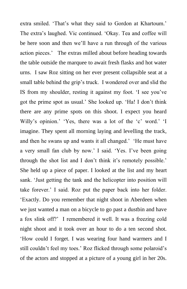extra smiled. 'That's what they said to Gordon at Khartoum.' The extra's laughed. Vic continued. 'Okay. Tea and coffee will be here soon and then we'll have a run through of the various action pieces.' The extras milled about before heading towards the table outside the marquee to await fresh flasks and hot water urns. I saw Roz sitting on her ever present collapsible seat at a small table behind the grip's truck. I wondered over and slid the IS from my shoulder, resting it against my foot. 'I see you've got the prime spot as usual.' She looked up. 'Ha! I don't think there are any prime spots on this shoot. I expect you heard Willy's opinion.' 'Yes, there was a lot of the 'c' word.' 'I imagine. They spent all morning laying and levelling the track, and then he swans up and wants it all changed.' 'He must have a very small fan club by now.' I said. 'Yes. I've been going through the shot list and I don't think it's remotely possible.' She held up a piece of paper. I looked at the list and my heart sank. 'Just getting the tank and the helicopter into position will take forever.' I said. Roz put the paper back into her folder. 'Exactly. Do you remember that night shoot in Aberdeen when we just wanted a man on a bicycle to go past a dustbin and have a fox slink off?' I remembered it well. It was a freezing cold night shoot and it took over an hour to do a ten second shot. 'How could I forget. I was wearing four hand warmers and I still couldn't feel my toes.' Roz flicked through some polaroid's of the actors and stopped at a picture of a young girl in her 20s.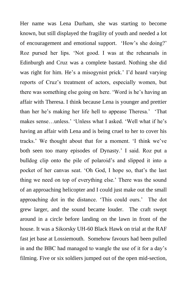Her name was Lena Durham, she was starting to become known, but still displayed the fragility of youth and needed a lot of encouragement and emotional support. 'How's she doing?' Roz pursed her lips. 'Not good. I was at the rehearsals in Edinburgh and Cruz was a complete bastard. Nothing she did was right for him. He's a misogynist prick.' I'd heard varying reports of Cruz's treatment of actors, especially women, but there was something else going on here. 'Word is he's having an affair with Theresa. I think because Lena is younger and prettier than her he's making her life hell to appease Theresa.' 'That makes sense…unless.' 'Unless what I asked. 'Well what if he's having an affair with Lena and is being cruel to her to cover his tracks.' We thought about that for a moment. 'I think we've both seen too many episodes of Dynasty.' I said. Roz put a bulldog clip onto the pile of polaroid's and slipped it into a pocket of her canvas seat. 'Oh God, I hope so, that's the last thing we need on top of everything else.' There was the sound of an approaching helicopter and I could just make out the small approaching dot in the distance. 'This could ours.' The dot grew larger, and the sound became louder. The craft swept around in a circle before landing on the lawn in front of the house. It was a Sikorsky UH-60 Black Hawk on trial at the RAF fast jet base at Lossiemouth. Somehow favours had been pulled in and the BBC had managed to wangle the use of it for a day's filming. Five or six soldiers jumped out of the open mid-section,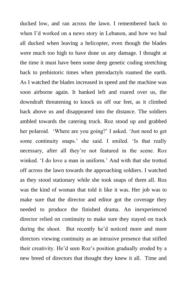ducked low, and ran across the lawn. I remembered back to when I'd worked on a news story in Lebanon, and how we had all ducked when leaving a helicopter, even though the blades were much too high to have done us any damage. I thought at the time it must have been some deep genetic coding stretching back to prehistoric times when pterodactyls roamed the earth. As I watched the blades increased in speed and the machine was soon airborne again. It banked left and roared over us, the downdraft threatening to knock us off our feet, as it climbed back above us and disappeared into the distance. The soldiers ambled towards the catering truck. Roz stood up and grabbed her polaroid. 'Where are you going?' I asked. 'Just need to get some continuity snaps.' she said. I smiled. 'Is that really necessary, after all they're not featured in the scene. Roz winked. 'I do love a man in uniform.' And with that she trotted off across the lawn towards the approaching soldiers. I watched as they stood stationary while she took snaps of them all. Roz was the kind of woman that told it like it was. Her job was to make sure that the director and editor got the coverage they needed to produce the finished drama. An inexperienced director relied on continuity to make sure they stayed on track during the shoot. But recently he'd noticed more and more directors viewing continuity as an intrusive presence that stifled their creativity. He'd seen Roz's position gradually eroded by a new breed of directors that thought they knew it all. Time and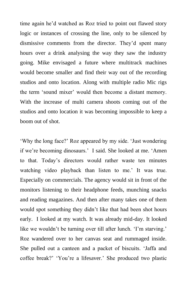time again he'd watched as Roz tried to point out flawed story logic or instances of crossing the line, only to be silenced by dismissive comments from the director. They'd spent many hours over a drink analysing the way they saw the industry going. Mike envisaged a future where multitrack machines would become smaller and find their way out of the recording studios and onto location. Along with multiple radio Mic rigs the term 'sound mixer' would then become a distant memory. With the increase of multi camera shoots coming out of the studios and onto location it was becoming impossible to keep a boom out of shot.

'Why the long face?' Roz appeared by my side. 'Just wondering if we're becoming dinosaurs.' I said. She looked at me. 'Amen to that. Today's directors would rather waste ten minutes watching video playback than listen to me.' It was true. Especially on commercials. The agency would sit in front of the monitors listening to their headphone feeds, munching snacks and reading magazines. And then after many takes one of them would spot something they didn't like that had been shot hours early. I looked at my watch. It was already mid-day. It looked like we wouldn't be turning over till after lunch. 'I'm starving.' Roz wandered over to her canvas seat and rummaged inside. She pulled out a canteen and a packet of biscuits. 'Jaffa and coffee break?' 'You're a lifesaver.' She produced two plastic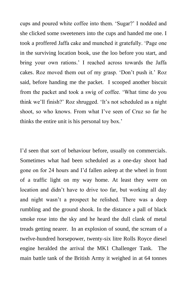cups and poured white coffee into them. 'Sugar?' I nodded and she clicked some sweeteners into the cups and handed me one. I took a proffered Jaffa cake and munched it gratefully. 'Page one in the surviving location book, use the loo before you start, and bring your own rations.' I reached across towards the Jaffa cakes. Roz moved them out of my grasp. 'Don't push it.' Roz said, before handing me the packet. I scooped another biscuit from the packet and took a swig of coffee. 'What time do you think we'll finish?' Roz shrugged. 'It's not scheduled as a night shoot, so who knows. From what I've seen of Cruz so far he thinks the entire unit is his personal toy box.'

I'd seen that sort of behaviour before, usually on commercials. Sometimes what had been scheduled as a one-day shoot had gone on for 24 hours and I'd fallen asleep at the wheel in front of a traffic light on my way home. At least they were on location and didn't have to drive too far, but working all day and night wasn't a prospect he relished. There was a deep rumbling and the ground shook. In the distance a pall of black smoke rose into the sky and he heard the dull clank of metal treads getting nearer. In an explosion of sound, the scream of a twelve-hundred horsepower, twenty-six litre Rolls Royce diesel engine heralded the arrival the MK1 Challenger Tank. The main battle tank of the British Army it weighed in at 64 tonnes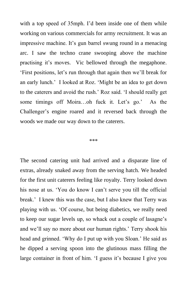with a top speed of 35mph. I'd been inside one of them while working on various commercials for army recruitment. It was an impressive machine. It's gun barrel swung round in a menacing arc. I saw the techno crane swooping above the machine practising it's moves. Vic bellowed through the megaphone. 'First positions, let's run through that again then we'll break for an early lunch.' I looked at Roz. 'Might be an idea to get down to the caterers and avoid the rush.' Roz said. 'I should really get some timings off Moira…oh fuck it. Let's go.' As the Challenger's engine roared and it reversed back through the woods we made our way down to the caterers.

#### \*\*\*

The second catering unit had arrived and a disparate line of extras, already snaked away from the serving hatch. We headed for the first unit caterers feeling like royalty. Terry looked down his nose at us. 'You do know I can't serve you till the official break.' I knew this was the case, but I also knew that Terry was playing with us. 'Of course, but being diabetics, we really need to keep our sugar levels up, so whack out a couple of lasagne's and we'll say no more about our human rights.' Terry shook his head and grinned. 'Why do I put up with you Sloan.' He said as he dipped a serving spoon into the glutinous mass filling the large container in front of him. 'I guess it's because I give you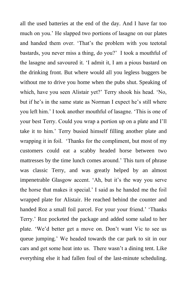all the used batteries at the end of the day. And I have far too much on you.' He slapped two portions of lasagne on our plates and handed them over. 'That's the problem with you teetotal bastards, you never miss a thing, do you?' I took a mouthful of the lasagne and savoured it. 'I admit it, I am a pious bastard on the drinking front. But where would all you legless buggers be without me to drive you home when the pubs shut. Speaking of which, have you seen Alistair yet?' Terry shook his head. 'No, but if he's in the same state as Norman I expect he's still where you left him.' I took another mouthful of lasagne. 'This is one of your best Terry. Could you wrap a portion up on a plate and I'll take it to him.' Terry busied himself filling another plate and wrapping it in foil. 'Thanks for the compliment, but most of my customers could eat a scabby headed horse between two mattresses by the time lunch comes around.' This turn of phrase was classic Terry, and was greatly helped by an almost impenetrable Glasgow accent. 'Ah, but it's the way you serve the horse that makes it special.' I said as he handed me the foil wrapped plate for Alistair. He reached behind the counter and handed Roz a small foil parcel. For your your friend.' 'Thanks Terry.' Roz pocketed the package and added some salad to her plate. 'We'd better get a move on. Don't want Vic to see us queue jumping.' We headed towards the car park to sit in our cars and get some heat into us. There wasn't a dining tent. Like everything else it had fallen foul of the last-minute scheduling.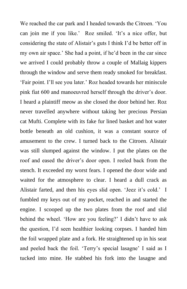We reached the car park and I headed towards the Citroen. 'You can join me if you like.' Roz smiled. 'It's a nice offer, but considering the state of Alistair's guts I think I'd be better off in my own air space.' She had a point, if he'd been in the car since we arrived I could probably throw a couple of Mallaig kippers through the window and serve them ready smoked for breakfast. 'Fair point. I'll see you later.' Roz headed towards her miniscule pink fiat 600 and manoeuvred herself through the driver's door. I heard a plaintiff meow as she closed the door behind her. Roz never travelled anywhere without taking her precious Persian cat Mufti. Complete with its fake fur lined basket and hot water bottle beneath an old cushion, it was a constant source of amusement to the crew. I turned back to the Citroen. Alistair was still slumped against the window. I put the plates on the roof and eased the driver's door open. I reeled back from the stench. It exceeded my worst fears. I opened the door wide and waited for the atmosphere to clear. I heard a dull crack as Alistair farted, and then his eyes slid open. 'Jeez it's cold.' I fumbled my keys out of my pocket, reached in and started the engine. I scooped up the two plates from the roof and slid behind the wheel. 'How are you feeling?' I didn't have to ask the question, I'd seen healthier looking corpses. I handed him the foil wrapped plate and a fork. He straightened up in his seat and peeled back the foil. 'Terry's special lasagne' I said as I tucked into mine. He stabbed his fork into the lasagne and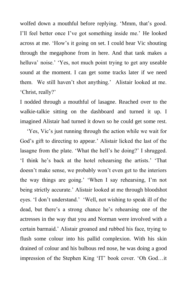wolfed down a mouthful before replying. 'Mmm, that's good. I'll feel better once I've got something inside me.' He looked across at me. 'How's it going on set. I could hear Vic shouting through the megaphone from in here. And that tank makes a helluva' noise.' 'Yes, not much point trying to get any useable sound at the moment. I can get some tracks later if we need them. We still haven't shot anything.' Alistair looked at me. 'Christ, really?'

I nodded through a mouthful of lasagne. Reached over to the walkie-talkie sitting on the dashboard and turned it up. I imagined Alistair had turned it down so he could get some rest.

'Yes, Vic's just running through the action while we wait for God's gift to directing to appear.' Alistair licked the last of the lasagne from the plate. 'What the hell's he doing?' I shrugged. 'I think he's back at the hotel rehearsing the artists.' 'That doesn't make sense, we probably won't even get to the interiors the way things are going.' 'When I say rehearsing, I'm not being strictly accurate.' Alistair looked at me through bloodshot eyes. 'I don't understand.' 'Well, not wishing to speak ill of the dead, but there's a strong chance he's rehearsing one of the actresses in the way that you and Norman were involved with a certain barmaid.' Alistair groaned and rubbed his face, trying to flush some colour into his pallid complexion. With his skin drained of colour and his bulbous red nose, he was doing a good impression of the Stephen King 'IT' book cover. 'Oh God…it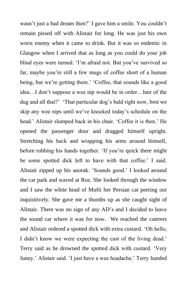wasn't just a bad dream then?' I gave him a smile. You couldn't remain pissed off with Alistair for long. He was just his own worst enemy when it came to drink. But it was so endemic in Glasgow when I arrived that as long as you could do your job blind eyes were turned. 'I'm afraid not. But you've survived so far, maybe you're still a few mugs of coffee short of a human being, but we're getting there.' 'Coffee, that sounds like a good idea…I don't suppose a wee nip would be in order…hair of the dug and all that?' 'That particular dog's bald right now, best we skip any wee nips until we've knocked today's schedule on the head.' Alistair slumped back in his chair. 'Coffee it is then.' He opened the passenger door and dragged himself upright. Stretching his back and wrapping his arms around himself, before rubbing his hands together. 'If you're quick there might be some spotted dick left to have with that coffee.' I said. Alistair zipped up his anorak. 'Sounds good.' I looked around the car park and waved at Roz. She looked through the window and I saw the white head of Mufti her Persian cat peering out inquisitively. She gave me a thumbs up as she caught sight of Alistair. There was no sign of any AD's and I decided to leave the sound car where it was for now. We reached the caterers and Alistair ordered a spotted dick with extra custard. 'Oh hello, I didn't know we were expecting the cast of the living dead.' Terry said as he drowned the spotted dick with custard. 'Very funny.' Alistair said. 'I just have a wee headache.' Terry handed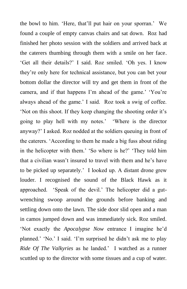the bowl to him. 'Here, that'll put hair on your sporran.' We found a couple of empty canvas chairs and sat down. Roz had finished her photo session with the soldiers and arrived back at the caterers thumbing through them with a smile on her face. 'Get all their details?' I said. Roz smiled. 'Oh yes. I know they're only here for technical assistance, but you can bet your bottom dollar the director will try and get them in front of the camera, and if that happens I'm ahead of the game.' 'You're always ahead of the game.' I said. Roz took a swig of coffee. 'Not on this shoot. If they keep changing the shooting order it's going to play hell with my notes.' 'Where is the director anyway?' I asked. Roz nodded at the soldiers queuing in front of the caterers. 'According to them he made a big fuss about riding in the helicopter with them.' 'So where is he?' 'They told him that a civilian wasn't insured to travel with them and he's have to be picked up separately.' I looked up. A distant drone grew louder. I recognised the sound of the Black Hawk as it approached. 'Speak of the devil.' The helicopter did a gutwrenching swoop around the grounds before banking and settling down onto the lawn. The side door slid open and a man in camos jumped down and was immediately sick. Roz smiled. 'Not exactly the *Apocalypse Now* entrance I imagine he'd planned.' 'No.' I said. 'I'm surprised he didn't ask me to play *Ride Of The Valkyries* as he landed.' I watched as a runner scuttled up to the director with some tissues and a cup of water.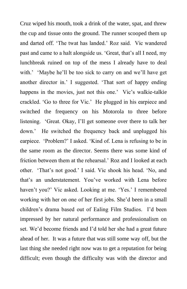Cruz wiped his mouth, took a drink of the water, spat, and threw the cup and tissue onto the ground. The runner scooped them up and darted off. 'The twat has landed.' Roz said. Vic wandered past and came to a halt alongside us. 'Great, that's all I need, my lunchbreak ruined on top of the mess I already have to deal with.' 'Maybe he'll be too sick to carry on and we'll have get another director in.' I suggested. 'That sort of happy ending happens in the movies, just not this one.' Vic's walkie-talkie crackled. 'Go to three for Vic.' He plugged in his earpiece and switched the frequency on his Motorola to three before listening. 'Great. Okay, I'll get someone over there to talk her down.' He switched the frequency back and unplugged his earpiece. 'Problem?' I asked. 'Kind of. Lena is refusing to be in the same room as the director. Seems there was some kind of friction between them at the rehearsal.' Roz and I looked at each other. 'That's not good.' I said. Vic shook his head. 'No, and that's an understatement. You've worked with Lena before haven't you?' Vic asked. Looking at me. 'Yes.' I remembered working with her on one of her first jobs. She'd been in a small children's drama based out of Ealing Film Studios. I'd been impressed by her natural performance and professionalism on set. We'd become friends and I'd told her she had a great future ahead of her. It was a future that was still some way off, but the last thing she needed right now was to get a reputation for being difficult; even though the difficulty was with the director and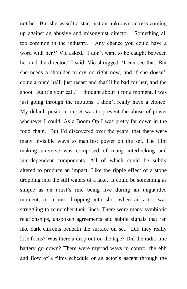not her. But she wasn't a star, just an unknown actress coming up against an abusive and misogynist director. Something all too common in the industry. 'Any chance you could have a word with her?' Vic asked. 'I don't want to be caught between her and the director.' I said. Vic shrugged. 'I can see that. But she needs a shoulder to cry on right now, and if she doesn't come around he'll just recast and that'll be bad for her, and the shoot. But it's your call.' I thought about it for a moment, I was just going through the motions. I didn't really have a choice. My default position on set was to prevent the abuse of power whenever I could. As a Boom-Op I was pretty far down in the food chain. But I'd discovered over the years, that there were many invisible ways to manifest power on the set. The film making universe was composed of many interlocking and interdependent components. All of which could be subtly altered to produce an impact. Like the ripple effect of a stone dropping into the still waters of a lake. It could be something as simple as an artist's mic being live during an unguarded moment, or a mic dropping into shot when an actor was struggling to remember their lines. There were many symbiotic relationships, unspoken agreements and subtle signals that ran like dark currents beneath the surface on set. Did they really lose focus? Was there a drop out on the tape? Did the radio-mic battery go down? There were myriad ways to control the ebb and flow of a films schedule or an actor's ascent through the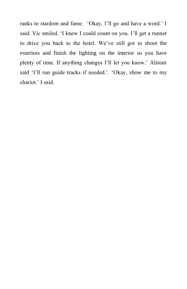ranks to stardom and fame. 'Okay, I'll go and have a word.' I said. Vic smiled. 'I knew I could count on you. I'll get a runner to drive you back to the hotel. We've still got to shoot the exteriors and finish the lighting on the interior so you have plenty of time. If anything changes I'll let you know.' Alistair said 'I'll run guide tracks if needed.'. 'Okay, show me to my chariot.' I said.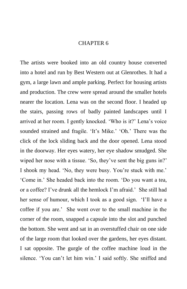#### CHAPTER 6

The artists were booked into an old country house converted into a hotel and run by Best Western out at Glenrothes. It had a gym, a large lawn and ample parking. Perfect for housing artists and production. The crew were spread around the smaller hotels nearer the location. Lena was on the second floor. I headed up the stairs, passing rows of badly painted landscapes until I arrived at her room. I gently knocked. 'Who is it?' Lena's voice sounded strained and fragile. 'It's Mike.' 'Oh.' There was the click of the lock sliding back and the door opened. Lena stood in the doorway. Her eyes watery, her eye shadow smudged. She wiped her nose with a tissue. 'So, they've sent the big guns in?' I shook my head. 'No, they were busy. You're stuck with me.' 'Come in.' She headed back into the room. 'Do you want a tea, or a coffee? I've drunk all the hemlock I'm afraid.' She still had her sense of humour, which I took as a good sign. 'I'll have a coffee if you are.' She went over to the small machine in the corner of the room, snapped a capsule into the slot and punched the bottom. She went and sat in an overstuffed chair on one side of the large room that looked over the gardens, her eyes distant. I sat opposite. The gurgle of the coffee machine loud in the silence. 'You can't let him win.' I said softly. She sniffed and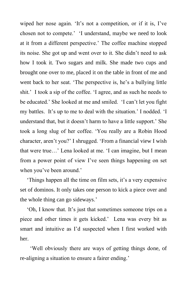wiped her nose again. 'It's not a competition, or if it is, I've chosen not to compete.' 'I understand, maybe we need to look at it from a different perspective.' The coffee machine stopped its noise. She got up and went over to it. She didn't need to ask how I took it. Two sugars and milk. She made two cups and brought one over to me, placed it on the table in front of me and went back to her seat. 'The perspective is, he's a bullying little shit.' I took a sip of the coffee. 'I agree, and as such he needs to be educated.' She looked at me and smiled. 'I can't let you fight my battles. It's up to me to deal with the situation.' I nodded. 'I understand that, but it doesn't harm to have a little support.' She took a long slug of her coffee. 'You really are a Robin Hood character, aren't you?' I shrugged. 'From a financial view I wish that were true…' Lena looked at me. 'I can imagine, but I mean from a power point of view I've seen things happening on set when you've been around.'

'Things happen all the time on film sets, it's a very expensive set of dominos. It only takes one person to kick a piece over and the whole thing can go sideways.'

'Oh, I know that. It's just that sometimes someone trips on a piece and other times it gets kicked.' Lena was every bit as smart and intuitive as I'd suspected when I first worked with her.

 'Well obviously there are ways of getting things done, of re-aligning a situation to ensure a fairer ending.'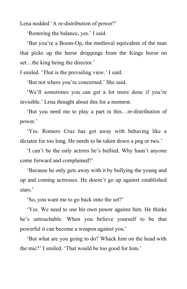Lena nodded 'A re-distribution of power?'

'Restoring the balance, yes.' I said.

'But you're a Boom-Op, the medieval equivalent of the man that picks up the horse droppings from the Kings horse on set…the king being the director.'

I smiled. 'That is the prevailing view.' I said.

'But not where you're concerned.' She said.

'We'll sometimes you can get a lot more done if you're invisible.' Lena thought about this for a moment.

'But you need me to play a part in this…re-distribution of power.'

'Yes. Romero Cruz has got away with behaving like a dictator for too long. He needs to be taken down a peg or two.'

'I can't be the only actress he's bullied. Why hasn't anyone come forward and complained?'

'Because he only gets away with it by bullying the young and up and coming actresses. He doesn't go up against established stars<sup>'</sup>

'So, you want me to go back onto the set?'

'Yes. We need to use his own power against him. He thinks he's untouchable. When you believe yourself to be that powerful it can become a weapon against you.'

'But what are you going to do? Whack him on the head with the mic?' I smiled. 'That would be too good for him.'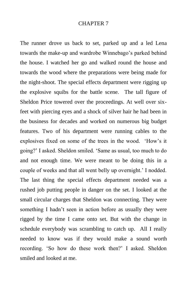#### CHAPTER 7

The runner drove us back to set, parked up and a led Lena towards the make-up and wardrobe Winnebago's parked behind the house. I watched her go and walked round the house and towards the wood where the preparations were being made for the night-shoot. The special effects department were rigging up the explosive squibs for the battle scene. The tall figure of Sheldon Price towered over the proceedings. At well over sixfeet with piercing eyes and a shock of silver hair he had been in the business for decades and worked on numerous big budget features. Two of his department were running cables to the explosives fixed on some of the trees in the wood. 'How's it going?' I asked. Sheldon smiled. 'Same as usual, too much to do and not enough time. We were meant to be doing this in a couple of weeks and that all went belly up overnight.' I nodded. The last thing the special effects department needed was a rushed job putting people in danger on the set. I looked at the small circular charges that Sheldon was connecting. They were something I hadn't seen in action before as usually they were rigged by the time I came onto set. But with the change in schedule everybody was scrambling to catch up. All I really needed to know was if they would make a sound worth recording. 'So how do these work then?' I asked. Sheldon smiled and looked at me.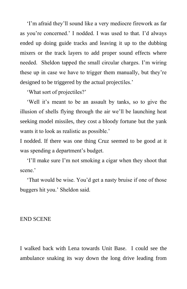'I'm afraid they'll sound like a very mediocre firework as far as you're concerned.' I nodded. I was used to that. I'd always ended up doing guide tracks and leaving it up to the dubbing mixers or the track layers to add proper sound effects where needed. Sheldon tapped the small circular charges. I'm wiring these up in case we have to trigger them manually, but they're designed to be triggered by the actual projectiles.'

'What sort of projectiles?'

'Well it's meant to be an assault by tanks, so to give the illusion of shells flying through the air we'll be launching heat seeking model missiles, they cost a bloody fortune but the yank wants it to look as realistic as possible.'

I nodded. If there was one thing Cruz seemed to be good at it was spending a department's budget.

'I'll make sure I'm not smoking a cigar when they shoot that scene<sup>'</sup>

'That would be wise. You'd get a nasty bruise if one of those buggers hit you.' Sheldon said.

#### END SCENE

I walked back with Lena towards Unit Base. I could see the ambulance snaking its way down the long drive leading from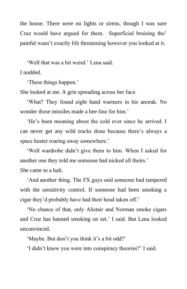the house. There were no lights or sirens, though I was sure Cruz would have argued for them. Superficial bruising tho' painful wasn't exactly life threatening however you looked at it.

'Well that was a bit weird.' Lena said.

I nodded.

'These things happen.'

She looked at me. A grin spreading across her face.

'What? They found eight hand warmers in his anorak. No wonder those missiles made a bee-line for him.'

'He's been moaning about the cold ever since he arrived. I can never get any wild tracks done because there's always a space heater roaring away somewhere.'

'Well wardrobe didn't give them to him. When I asked for another one they told me someone had nicked all theirs.' She came to a halt.

'And another thing. The FX guys said someone had tampered with the sensitivity control. If someone had been smoking a cigar they'd probably have had their head taken off.'

'No chance of that, only Alistair and Norman smoke cigars and Cruz has banned smoking on set.' I said. But Lena looked unconvinced.

'Maybe. But don't you think it's a bit odd?'

'I didn't know you were into conspiracy theories?' I said.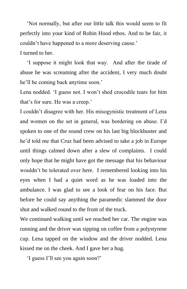'Not normally, but after our little talk this would seem to fit perfectly into your kind of Robin Hood ethos. And to be fair, it couldn't have happened to a more deserving cause.'

I turned to her.

'I suppose it might look that way. And after the tirade of abuse he was screaming after the accident, I very much doubt he'll be coming back anytime soon.'

Lena nodded. 'I guess not. I won't shed crocodile tears for him that's for sure. He was a creep.'

I couldn't disagree with her. His misogynistic treatment of Lena and women on the set in general, was bordering on abuse. I'd spoken to one of the sound crew on his last big blockbuster and he'd told me that Cruz had been advised to take a job in Europe until things calmed down after a slew of complaints. I could only hope that he might have got the message that his behaviour wouldn't be tolerated over here. I remembered looking into his eyes when I had a quiet word as he was loaded into the ambulance. I was glad to see a look of fear on his face. But before he could say anything the paramedic slammed the door shut and walked round to the front of the truck.

We continued walking until we reached her car. The engine was running and the driver was sipping on coffee from a polystyrene cup. Lena tapped on the window and the driver nodded. Lena kissed me on the cheek. And I gave her a hug.

'I guess I'll see you again soon?'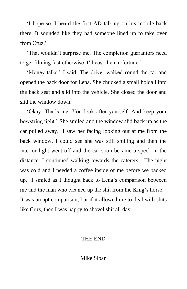'I hope so. I heard the first AD talking on his mobile back there. It sounded like they had someone lined up to take over from Cruz.'

'That wouldn't surprise me. The completion guarantors need to get filming fast otherwise it'll cost them a fortune.'

'Money talks.' I said. The driver walked round the car and opened the back door for Lena. She chucked a small holdall into the back seat and slid into the vehicle. She closed the door and slid the window down.

'Okay. That's me. You look after yourself. And keep your bowstring tight.' She smiled and the window slid back up as the car pulled away. I saw her facing looking out at me from the back window. I could see she was still smiling and then the interior light went off and the car soon became a speck in the distance. I continued walking towards the caterers. The night was cold and I needed a coffee inside of me before we packed up. I smiled as I thought back to Lena's comparison between me and the man who cleaned up the shit from the King's horse. It was an apt comparison, but if it allowed me to deal with shits like Cruz, then I was happy to shovel shit all day.

## THE END

Mike Sloan